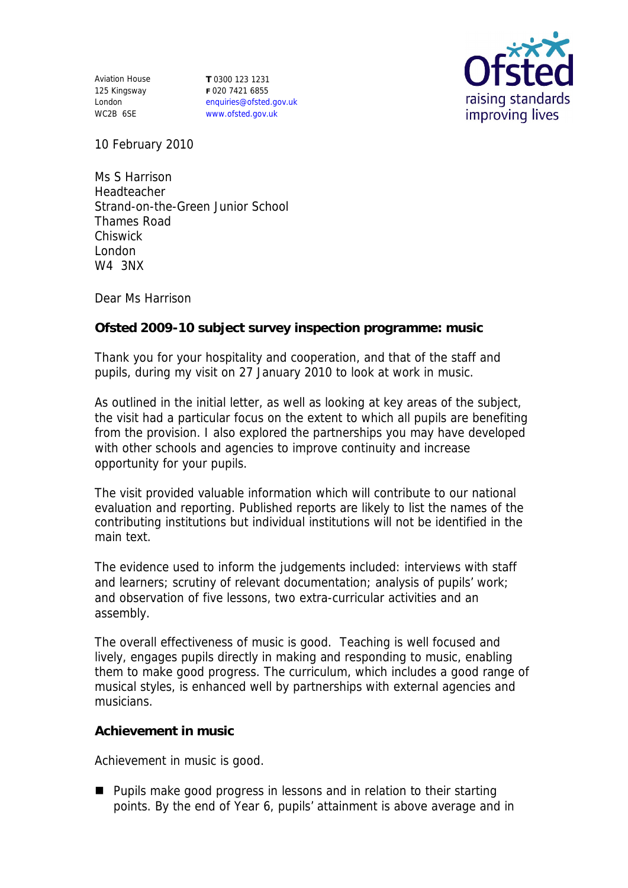Aviation House 125 Kingsway London WC2B 6SE **T** 0300 123 1231 **F** 020 7421 6855 enquiries@ofsted.gov.uk www.ofsted.gov.uk



10 February 2010

Ms S Harrison Headteacher Strand-on-the-Green Junior School Thames Road Chiswick London W4 3NX

Dear Ms Harrison

**Ofsted 2009-10 subject survey inspection programme: music**

Thank you for your hospitality and cooperation, and that of the staff and pupils, during my visit on 27 January 2010 to look at work in music.

As outlined in the initial letter, as well as looking at key areas of the subject, the visit had a particular focus on the extent to which all pupils are benefiting from the provision. I also explored the partnerships you may have developed with other schools and agencies to improve continuity and increase opportunity for your pupils.

The visit provided valuable information which will contribute to our national evaluation and reporting. Published reports are likely to list the names of the contributing institutions but individual institutions will not be identified in the main text.

The evidence used to inform the judgements included: interviews with staff and learners; scrutiny of relevant documentation; analysis of pupils' work; and observation of five lessons, two extra-curricular activities and an assembly.

The overall effectiveness of music is good. Teaching is well focused and lively, engages pupils directly in making and responding to music, enabling them to make good progress. The curriculum, which includes a good range of musical styles, is enhanced well by partnerships with external agencies and musicians.

**Achievement in music**

Achievement in music is good.

**Pupils make good progress in lessons and in relation to their starting** points. By the end of Year 6, pupils' attainment is above average and in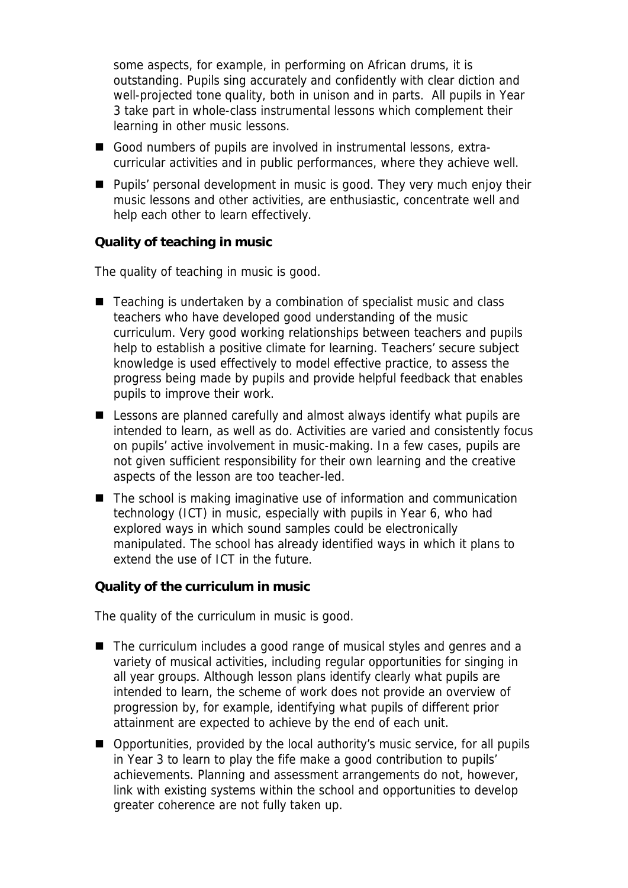some aspects, for example, in performing on African drums, it is outstanding. Pupils sing accurately and confidently with clear diction and well-projected tone quality, both in unison and in parts. All pupils in Year 3 take part in whole-class instrumental lessons which complement their learning in other music lessons.

- Good numbers of pupils are involved in instrumental lessons, extracurricular activities and in public performances, where they achieve well.
- **Pupils'** personal development in music is good. They very much enjoy their music lessons and other activities, are enthusiastic, concentrate well and help each other to learn effectively.

**Quality of teaching in music**

The quality of teaching in music is good.

- Teaching is undertaken by a combination of specialist music and class teachers who have developed good understanding of the music curriculum. Very good working relationships between teachers and pupils help to establish a positive climate for learning. Teachers' secure subject knowledge is used effectively to model effective practice, to assess the progress being made by pupils and provide helpful feedback that enables pupils to improve their work.
- Lessons are planned carefully and almost always identify what pupils are intended to learn, as well as do. Activities are varied and consistently focus on pupils' active involvement in music-making. In a few cases, pupils are not given sufficient responsibility for their own learning and the creative aspects of the lesson are too teacher-led.
- $\blacksquare$  The school is making imaginative use of information and communication technology (ICT) in music, especially with pupils in Year 6, who had explored ways in which sound samples could be electronically manipulated. The school has already identified ways in which it plans to extend the use of ICT in the future.

**Quality of the curriculum in music**

The quality of the curriculum in music is good.

- The curriculum includes a good range of musical styles and genres and a variety of musical activities, including regular opportunities for singing in all year groups. Although lesson plans identify clearly what pupils are intended to learn, the scheme of work does not provide an overview of progression by, for example, identifying what pupils of different prior attainment are expected to achieve by the end of each unit.
- Opportunities, provided by the local authority's music service, for all pupils in Year 3 to learn to play the fife make a good contribution to pupils' achievements. Planning and assessment arrangements do not, however, link with existing systems within the school and opportunities to develop greater coherence are not fully taken up.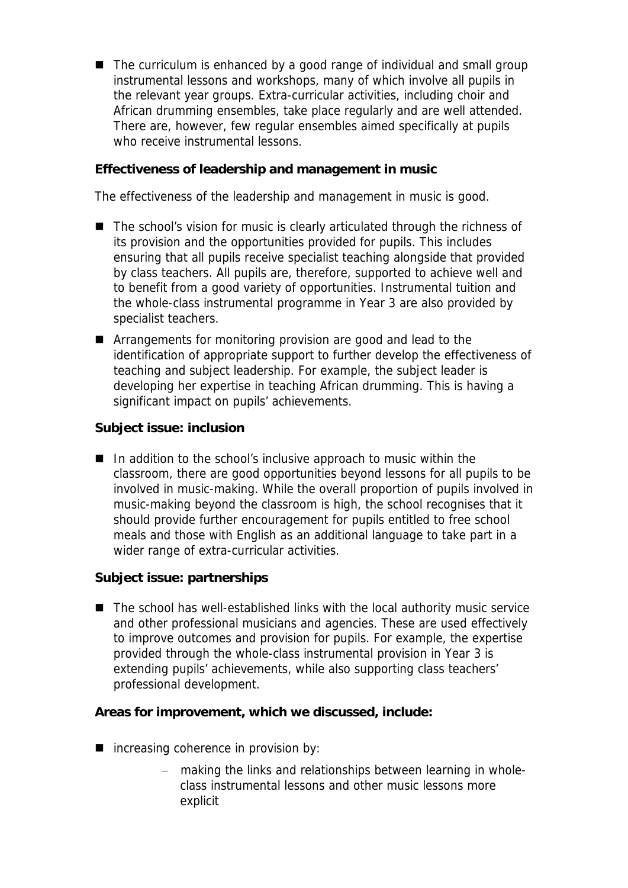■ The curriculum is enhanced by a good range of individual and small group instrumental lessons and workshops, many of which involve all pupils in the relevant year groups. Extra-curricular activities, including choir and African drumming ensembles, take place regularly and are well attended. There are, however, few regular ensembles aimed specifically at pupils who receive instrumental lessons.

**Effectiveness of leadership and management in music**

The effectiveness of the leadership and management in music is good.

- The school's vision for music is clearly articulated through the richness of its provision and the opportunities provided for pupils. This includes ensuring that all pupils receive specialist teaching alongside that provided by class teachers. All pupils are, therefore, supported to achieve well and to benefit from a good variety of opportunities. Instrumental tuition and the whole-class instrumental programme in Year 3 are also provided by specialist teachers.
- Arrangements for monitoring provision are good and lead to the identification of appropriate support to further develop the effectiveness of teaching and subject leadership. For example, the subject leader is developing her expertise in teaching African drumming. This is having a significant impact on pupils' achievements.

**Subject issue: inclusion**

■ In addition to the school's inclusive approach to music within the classroom, there are good opportunities beyond lessons for all pupils to be involved in music-making. While the overall proportion of pupils involved in music-making beyond the classroom is high, the school recognises that it should provide further encouragement for pupils entitled to free school meals and those with English as an additional language to take part in a wider range of extra-curricular activities.

**Subject issue: partnerships**

■ The school has well-established links with the local authority music service and other professional musicians and agencies. These are used effectively to improve outcomes and provision for pupils. For example, the expertise provided through the whole-class instrumental provision in Year 3 is extending pupils' achievements, while also supporting class teachers' professional development.

**Areas for improvement, which we discussed, include:**

- increasing coherence in provision by:
	- making the links and relationships between learning in wholeclass instrumental lessons and other music lessons more explicit